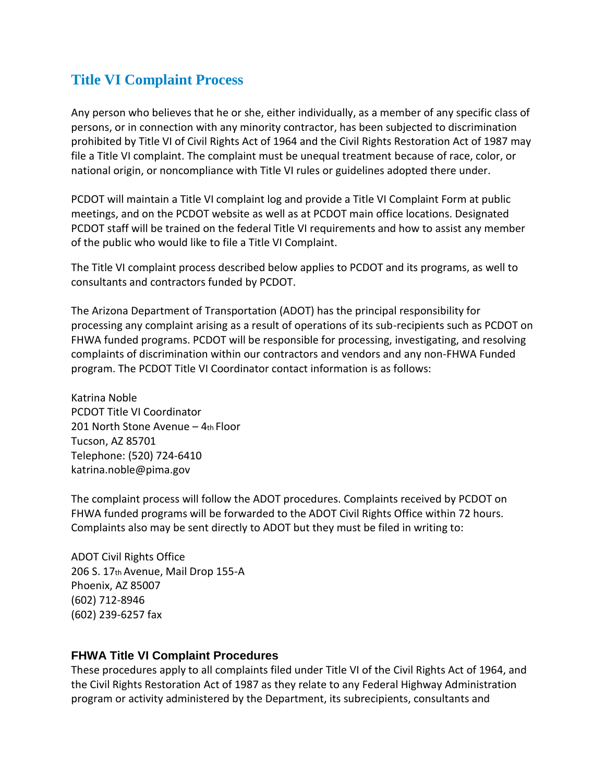## **Title VI Complaint Process**

Any person who believes that he or she, either individually, as a member of any specific class of persons, or in connection with any minority contractor, has been subjected to discrimination prohibited by Title VI of Civil Rights Act of 1964 and the Civil Rights Restoration Act of 1987 may file a Title VI complaint. The complaint must be unequal treatment because of race, color, or national origin, or noncompliance with Title VI rules or guidelines adopted there under.

PCDOT will maintain a Title VI complaint log and provide a Title VI Complaint Form at public meetings, and on the PCDOT website as well as at PCDOT main office locations. Designated PCDOT staff will be trained on the federal Title VI requirements and how to assist any member of the public who would like to file a Title VI Complaint.

The Title VI complaint process described below applies to PCDOT and its programs, as well to consultants and contractors funded by PCDOT.

The Arizona Department of Transportation (ADOT) has the principal responsibility for processing any complaint arising as a result of operations of its sub‐recipients such as PCDOT on FHWA funded programs. PCDOT will be responsible for processing, investigating, and resolving complaints of discrimination within our contractors and vendors and any non‐FHWA Funded program. The PCDOT Title VI Coordinator contact information is as follows:

Katrina Noble PCDOT Title VI Coordinator 201 North Stone Avenue – 4th Floor Tucson, AZ 85701 Telephone: (520) 724‐6410 katrina.noble@pima.gov

The complaint process will follow the ADOT procedures. Complaints received by PCDOT on FHWA funded programs will be forwarded to the ADOT Civil Rights Office within 72 hours. Complaints also may be sent directly to ADOT but they must be filed in writing to:

ADOT Civil Rights Office 206 S. 17th Avenue, Mail Drop 155‐A Phoenix, AZ 85007 (602) 712‐8946 (602) 239‐6257 fax

## **FHWA Title VI Complaint Procedures**

These procedures apply to all complaints filed under Title VI of the Civil Rights Act of 1964, and the Civil Rights Restoration Act of 1987 as they relate to any Federal Highway Administration program or activity administered by the Department, its subrecipients, consultants and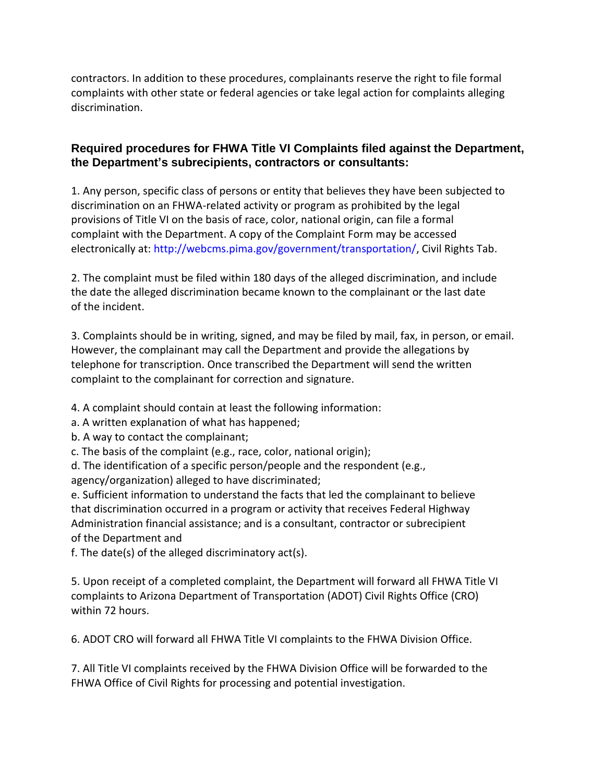contractors. In addition to these procedures, complainants reserve the right to file formal complaints with other state or federal agencies or take legal action for complaints alleging discrimination.

## **Required procedures for FHWA Title VI Complaints filed against the Department, the Department's subrecipients, contractors or consultants:**

1. Any person, specific class of persons or entity that believes they have been subjected to discrimination on an FHWA‐related activity or program as prohibited by the legal provisions of Title VI on the basis of race, color, national origin, can file a formal complaint with the Department. A copy of the Complaint Form may be accessed electronically at: http://webcms.pima.gov/government/transportation/, Civil Rights Tab.

2. The complaint must be filed within 180 days of the alleged discrimination, and include the date the alleged discrimination became known to the complainant or the last date of the incident.

3. Complaints should be in writing, signed, and may be filed by mail, fax, in person, or email. However, the complainant may call the Department and provide the allegations by telephone for transcription. Once transcribed the Department will send the written complaint to the complainant for correction and signature.

4. A complaint should contain at least the following information:

- a. A written explanation of what has happened;
- b. A way to contact the complainant;
- c. The basis of the complaint (e.g., race, color, national origin);

d. The identification of a specific person/people and the respondent (e.g., agency/organization) alleged to have discriminated;

e. Sufficient information to understand the facts that led the complainant to believe that discrimination occurred in a program or activity that receives Federal Highway Administration financial assistance; and is a consultant, contractor or subrecipient of the Department and

f. The date(s) of the alleged discriminatory act(s).

5. Upon receipt of a completed complaint, the Department will forward all FHWA Title VI complaints to Arizona Department of Transportation (ADOT) Civil Rights Office (CRO) within 72 hours.

6. ADOT CRO will forward all FHWA Title VI complaints to the FHWA Division Office.

7. All Title VI complaints received by the FHWA Division Office will be forwarded to the FHWA Office of Civil Rights for processing and potential investigation.